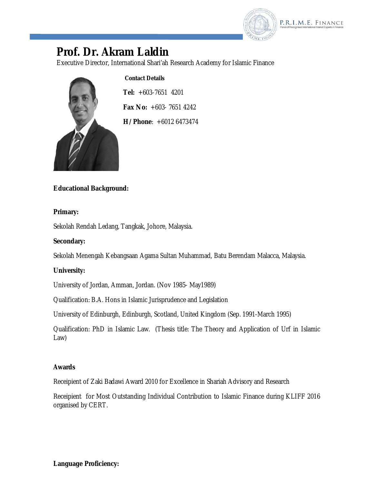

# **Prof. Dr. Akram Laldin**

Executive Director, International Shari'ah Research Academy for Islamic Finance



**Contact Details**

**Tel:** +603-7651 4201 **Fax No:** +603- 7651 4242

**H/Phone**: +6012 6473474

# **Educational Background:**

#### **Primary:**

Sekolah Rendah Ledang, Tangkak, Johore, Malaysia.

## **Secondary:**

Sekolah Menengah Kebangsaan Agama Sultan Muhammad, Batu Berendam Malacca, Malaysia.

# **University:**

University of Jordan, Amman, Jordan. (Nov 1985- May1989)

Qualification: B.A. Hons in Islamic Jurisprudence and Legislation

University of Edinburgh, Edinburgh, Scotland, United Kingdom (Sep. 1991-March 1995)

Qualification: PhD in Islamic Law. (Thesis title: The Theory and Application of Urf in Islamic Law)

#### **Awards**

Receipient of Zaki Badawi Award 2010 for Excellence in Shariah Advisory and Research

Receipient for Most Outstanding Individual Contribution to Islamic Finance during KLIFF 2016 organised by CERT.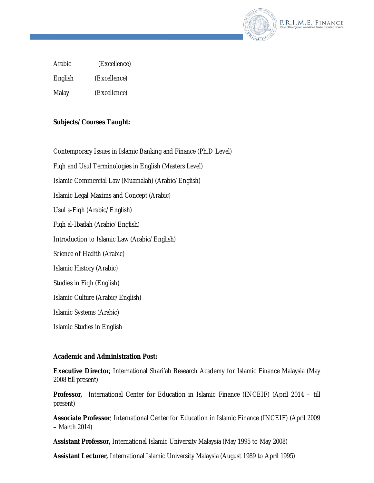

Arabic (Excellence)

English (Excellence)

Malay (Excellence)

# **Subjects/Courses Taught:**

Contemporary Issues in Islamic Banking and Finance (Ph.D Level)

Fiqh and Usul Terminologies in English (Masters Level)

Islamic Commercial Law (Muamalah) (Arabic/English)

Islamic Legal Maxims and Concept (Arabic)

Usul a-Fiqh (Arabic/English)

Fiqh al-Ibadah (Arabic/English)

Introduction to Islamic Law (Arabic/English)

Science of Hadith (Arabic)

Islamic History (Arabic)

Studies in Fiqh (English)

Islamic Culture (Arabic/English)

Islamic Systems (Arabic)

Islamic Studies in English

#### **Academic and Administration Post:**

**Executive Director,** International Shari'ah Research Academy for Islamic Finance Malaysia (May 2008 till present)

**Professor,** International Center for Education in Islamic Finance (INCEIF) (April 2014 – till present)

**Associate Professor**, International Center for Education in Islamic Finance (INCEIF) (April 2009 – March 2014)

**Assistant Professor,** International Islamic University Malaysia (May 1995 to May 2008)

**Assistant Lecturer,** International Islamic University Malaysia (August 1989 to April 1995)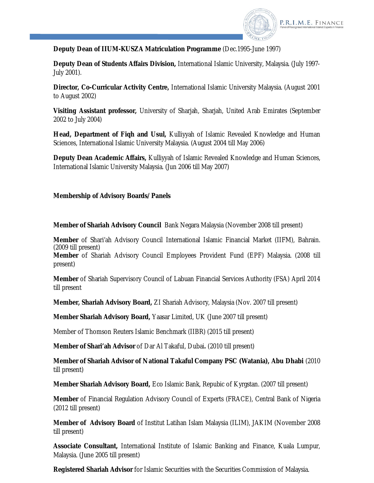

**Deputy Dean of IIUM-KUSZA Matriculation Programme** (Dec.1995-June 1997)

**Deputy Dean of Students Affairs Division,** International Islamic University, Malaysia. (July 1997- July 2001).

**Director, Co-Curricular Activity Centre,** International Islamic University Malaysia. (August 2001 to August 2002)

**Visiting Assistant professor,** University of Sharjah, Sharjah, United Arab Emirates (September 2002 to July 2004)

**Head, Department of Fiqh and Usul,** Kulliyyah of Islamic Revealed Knowledge and Human Sciences, International Islamic University Malaysia. (August 2004 till May 2006)

**Deputy Dean Academic Affairs,** Kulliyyah of Islamic Revealed Knowledge and Human Sciences, International Islamic University Malaysia. (Jun 2006 till May 2007)

# **Membership of Advisory Boards/Panels**

**Member of Shariah Advisory Council** Bank Negara Malaysia (November 2008 till present)

**Member** of Shari'ah Advisory Council International Islamic Financial Market (IIFM), Bahrain. (2009 till present)

**Member** of Shariah Advisory Council Employees Provident Fund (EPF) Malaysia. (2008 till present)

**Member** of Shariah Supervisory Council of Labuan Financial Services Authority (FSA) April 2014 till present

**Member, Shariah Advisory Board,** ZI Shariah Advisory, Malaysia (Nov. 2007 till present)

**Member Shariah Advisory Board,** Yaasar Limited, UK (June 2007 till present)

Member of Thomson Reuters Islamic Benchmark (IIBR) (2015 till present)

**Member of Shari'ah Advisor** of Dar Al Takaful, Dubai**.** (2010 till present)

**Member of Shariah Advisor of National Takaful Company PSC (Watania), Abu Dhabi** (2010 till present)

**Member Shariah Advisory Board,** Eco Islamic Bank, Repubic of Kyrgstan. (2007 till present)

**Member** of Financial Regulation Advisory Council of Experts (FRACE), Central Bank of Nigeria (2012 till present)

**Member of Advisory Board** of Institut Latihan Islam Malaysia (ILIM), JAKIM (November 2008 till present)

**Associate Consultant,** International Institute of Islamic Banking and Finance, Kuala Lumpur, Malaysia. (June 2005 till present)

**Registered Shariah Advisor** for Islamic Securities with the Securities Commission of Malaysia.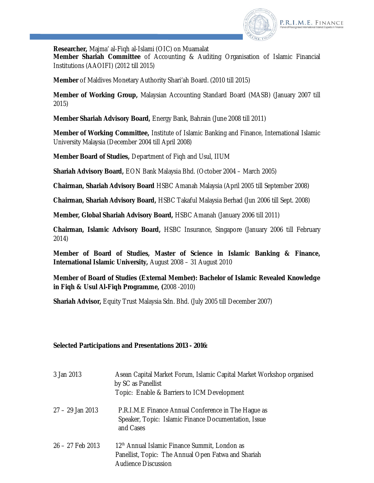

**Researcher,** Majma' al-Fiqh al-Islami (OIC) on Muamalat **Member Shariah Committee** of Accounting & Auditing Organisation of Islamic Financial Institutions (AAOIFI) (2012 till 2015)

**Member** of Maldives Monetary Authority Shari'ah Board. (2010 till 2015)

**Member of Working Group,** Malaysian Accounting Standard Board (MASB) (January 2007 till 2015)

**Member Shariah Advisory Board,** Energy Bank, Bahrain (June 2008 till 2011)

**Member of Working Committee,** Institute of Islamic Banking and Finance, International Islamic University Malaysia (December 2004 till April 2008)

**Member Board of Studies,** Department of Fiqh and Usul, IIUM

**Shariah Advisory Board,** EON Bank Malaysia Bhd. (October 2004 – March 2005)

**Chairman, Shariah Advisory Board** HSBC Amanah Malaysia (April 2005 till September 2008)

**Chairman, Shariah Advisory Board,** HSBC Takaful Malaysia Berhad (Jun 2006 till Sept. 2008)

**Member, Global Shariah Advisory Board,** HSBC Amanah (January 2006 till 2011)

**Chairman, Islamic Advisory Board,** HSBC Insurance, Singapore (January 2006 till February 2014)

**Member of Board of Studies, Master of Science in Islamic Banking & Finance, International Islamic University,** August 2008 – 31 August 2010

**Member of Board of Studies (External Member): Bachelor of Islamic Revealed Knowledge in Fiqh & Usul Al-Fiqh Programme, (**2008 -2010)

**Shariah Advisor,** Equity Trust Malaysia Sdn. Bhd. (July 2005 till December 2007)

#### **Selected Participations and Presentations 2013 - 2016:**

| 3 Jan 2013       | Asean Capital Market Forum, Islamic Capital Market Workshop organised<br>by SC as Panellist<br>Topic: Enable & Barriers to ICM Development     |
|------------------|------------------------------------------------------------------------------------------------------------------------------------------------|
| 27 – 29 Jan 2013 | P.R.I.M.E Finance Annual Conference in The Haque as<br>Speaker, Topic: Islamic Finance Documentation, Issue<br>and Cases                       |
| 26 – 27 Feb 2013 | 12 <sup>th</sup> Annual Islamic Finance Summit, London as<br>Panellist, Topic: The Annual Open Fatwa and Shariah<br><b>Audience Discussion</b> |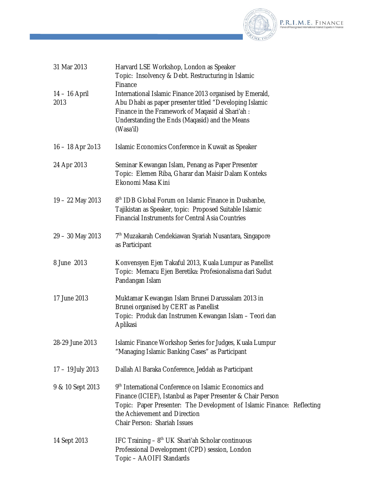

| 31 Mar 2013           | Harvard LSE Workshop, London as Speaker<br>Topic: Insolvency & Debt. Restructuring in Islamic<br>Finance                                                                                                                                                        |
|-----------------------|-----------------------------------------------------------------------------------------------------------------------------------------------------------------------------------------------------------------------------------------------------------------|
| 14 - 16 April<br>2013 | International Islamic Finance 2013 organised by Emerald,<br>Abu Dhabi as paper presenter titled "Developing Islamic<br>Finance in the Framework of Magasid al Shari'ah :<br>Understanding the Ends (Magasid) and the Means<br>(Wasa'il)                         |
| $16 - 18$ Apr 2013    | Islamic Economics Conference in Kuwait as Speaker                                                                                                                                                                                                               |
| 24 Apr 2013           | Seminar Kewangan Islam, Penang as Paper Presenter<br>Topic: Elemen Riba, Gharar dan Maisir Dalam Konteks<br>Ekonomi Masa Kini                                                                                                                                   |
| 19 - 22 May 2013      | 8 <sup>th</sup> IDB Global Forum on Islamic Finance in Dushanbe,<br>Tajikistan as Speaker, topic: Proposed Suitable Islamic<br><b>Financial Instruments for Central Asia Countries</b>                                                                          |
| 29 - 30 May 2013      | 7 <sup>th</sup> Muzakarah Cendekiawan Syariah Nusantara, Singapore<br>as Participant                                                                                                                                                                            |
| 8 June 2013           | Konvensyen Ejen Takaful 2013, Kuala Lumpur as Panellist<br>Topic: Memacu Ejen Beretika: Profesionalisma dari Sudut<br>Pandangan Islam                                                                                                                           |
| 17 June 2013          | Muktamar Kewangan Islam Brunei Darussalam 2013 in<br>Brunei organised by CERT as Panellist<br>Topic: Produk dan Instrumen Kewangan Islam - Teori dan<br>Aplikasi                                                                                                |
| 28-29 June 2013       | Islamic Finance Workshop Series for Judges, Kuala Lumpur<br>"Managing Islamic Banking Cases" as Participant                                                                                                                                                     |
| 17 - 19 July 2013     | Dallah Al Baraka Conference, Jeddah as Participant                                                                                                                                                                                                              |
| 9 & 10 Sept 2013      | 9th International Conference on Islamic Economics and<br>Finance (ICIEF), Istanbul as Paper Presenter & Chair Person<br>Topic: Paper Presenter: The Development of Islamic Finance: Reflecting<br>the Achievement and Direction<br>Chair Person: Shariah Issues |
| 14 Sept 2013          | IFC Training $-8th UK Shari'ah Scholar continuous$<br>Professional Development (CPD) session, London<br>Topic - AAOIFI Standards                                                                                                                                |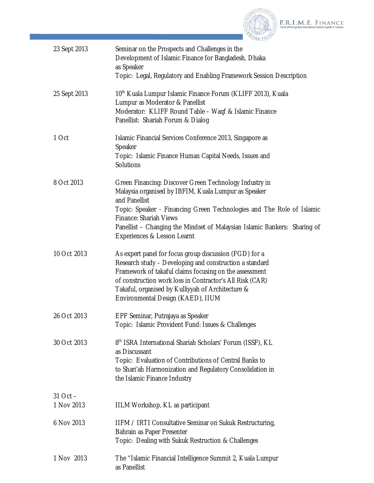

| 23 Sept 2013               | Seminar on the Prospects and Challenges in the<br>Development of Islamic Finance for Bangladesh, Dhaka<br>as Speaker<br>Topic: Legal, Regulatory and Enabling Framework Session Description                                                                                                                                                           |
|----------------------------|-------------------------------------------------------------------------------------------------------------------------------------------------------------------------------------------------------------------------------------------------------------------------------------------------------------------------------------------------------|
| 25 Sept 2013               | 10 <sup>th</sup> Kuala Lumpur Islamic Finance Forum (KLIFF 2013), Kuala<br>Lumpur as Moderator & Panellist<br>Moderator: KLIFF Round Table - Waqf & Islamic Finance<br>Panellist: Shariah Forum & Dialog                                                                                                                                              |
| 1 Oct                      | Islamic Financial Services Conference 2013, Singapore as<br>Speaker<br>Topic: Islamic Finance Human Capital Needs, Issues and<br><b>Solutions</b>                                                                                                                                                                                                     |
| 8 Oct 2013                 | Green Financing: Discover Green Technology Industry in<br>Malaysia organised by IBFIM, Kuala Lumpur as Speaker<br>and Panellist<br>Topic: Speaker - Financing Green Technologies and The Role of Islamic<br><b>Finance: Shariah Views</b><br>Panellist - Changing the Mindset of Malaysian Islamic Bankers: Sharing of<br>Experiences & Lesson Learnt |
| 10 Oct 2013                | As expert panel for focus group discussion (FGD) for a<br>Research study - Developing and construction a standard<br>Framework of takaful claims focusing on the assessment<br>of construction work loss in Contractor's All Risk (CAR)<br>Takaful, organised by Kulliyyah of Architecture &<br>Environmental Design (KAED), IIUM                     |
| 26 Oct 2013                | EPF Seminar, Putrajaya as Speaker<br>Topic: Islamic Provident Fund: Issues & Challenges                                                                                                                                                                                                                                                               |
| 30 Oct 2013                | 8 <sup>th</sup> ISRA International Shariah Scholars' Forum (ISSF), KL<br>as Discussant<br>Topic: Evaluation of Contributions of Central Banks to<br>to Shari'ah Harmonization and Regulatory Consolidation in<br>the Islamic Finance Industry                                                                                                         |
| $31$ Oct $-$<br>1 Nov 2013 | IILM Workshop, KL as participant                                                                                                                                                                                                                                                                                                                      |
| 6 Nov 2013                 | IIFM / IRTI Consultative Seminar on Sukuk Restructuring,<br>Bahrain as Paper Presenter<br>Topic: Dealing with Sukuk Restruction & Challenges                                                                                                                                                                                                          |
| 1 Nov 2013                 | The "Islamic Financial Intelligence Summit 2, Kuala Lumpur<br>as Panellist                                                                                                                                                                                                                                                                            |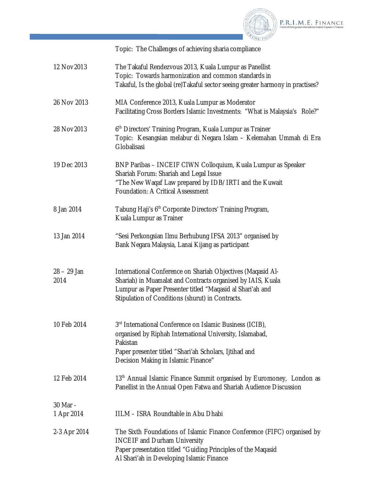

Topic: The Challenges of achieving sharia compliance

| 12 Nov 2013            | The Takaful Rendezvous 2013, Kuala Lumpur as Panellist<br>Topic: Towards harmonization and common standards in<br>Takaful, Is the global (re) Takaful sector seeing greater harmony in practises?                                             |
|------------------------|-----------------------------------------------------------------------------------------------------------------------------------------------------------------------------------------------------------------------------------------------|
| 26 Nov 2013            | MIA Conference 2013, Kuala Lumpur as Moderator<br>Facilitating Cross Borders Islamic Investments: "What is Malaysia's Role?"                                                                                                                  |
| 28 Nov 2013            | 6 <sup>th</sup> Directors' Training Program, Kuala Lumpur as Trainer<br>Topic: Kesangsian melabur di Negara Islam - Kelemahan Ummah di Era<br>Globalisasi                                                                                     |
| 19 Dec 2013            | BNP Paribas - INCEIF CIWN Colloquium, Kuala Lumpur as Speaker<br>Shariah Forum: Shariah and Legal Issue<br>"The New Waqaf Law prepared by IDB/IRTI and the Kuwait<br>Foundation: A Critical Assessment                                        |
| 8 Jan 2014             | Tabung Haji's 6 <sup>th</sup> Corporate Directors' Training Program,<br>Kuala Lumpur as Trainer                                                                                                                                               |
| 13 Jan 2014            | "Sesi Perkongsian Ilmu Berhubung IFSA 2013" organised by<br>Bank Negara Malaysia, Lanai Kijang as participant                                                                                                                                 |
| $28 - 29$ Jan<br>2014  | International Conference on Shariah Objectives (Magasid Al-<br>Shariah) in Muamalat and Contracts organised by IAIS, Kuala<br>Lumpur as Paper Presenter titled "Maqasid al Shari'ah and<br>Stipulation of Conditions (shurut) in Contracts.   |
| 10 Feb 2014            | 3 <sup>rd</sup> International Conference on Islamic Business (ICIB),<br>organised by Riphah International University, Islamabad,<br>Pakistan<br>Paper presenter titled "Shari'ah Scholars, Ijtihad and<br>Decision Making in Islamic Finance" |
| 12 Feb 2014            | 13 <sup>th</sup> Annual Islamic Finance Summit organised by Euromoney, London as<br>Panellist in the Annual Open Fatwa and Shariah Audience Discussion                                                                                        |
| 30 Mar -<br>1 Apr 2014 | IILM - ISRA Roundtable in Abu Dhabi                                                                                                                                                                                                           |
| 2-3 Apr 2014           | The Sixth Foundations of Islamic Finance Conference (FIFC) organised by<br><b>INCEIF and Durham University</b><br>Paper presentation titled "Guiding Principles of the Maqasid<br>Al Shari'ah in Developing Islamic Finance                   |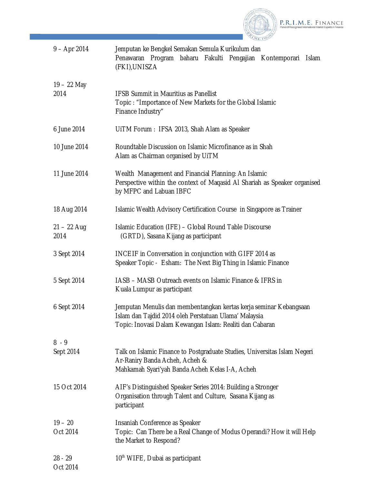

| $9 - Apr 2014$        | Jemputan ke Bengkel Semakan Semula Kurikulum dan<br>baharu Fakulti Pengajian Kontemporari<br>Penawaran Program<br><b>Islam</b><br>(FKI), UNISZA                                         |
|-----------------------|-----------------------------------------------------------------------------------------------------------------------------------------------------------------------------------------|
| $19 - 22$ May<br>2014 | <b>IFSB Summit in Mauritius as Panellist</b><br>Topic: "Importance of New Markets for the Global Islamic<br>Finance Industry"                                                           |
| 6 June 2014           | UITM Forum: IFSA 2013, Shah Alam as Speaker                                                                                                                                             |
| 10 June 2014          | Roundtable Discussion on Islamic Microfinance as in Shah<br>Alam as Chairman organised by UiTM                                                                                          |
| 11 June 2014          | Wealth Management and Financial Planning: An Islamic<br>Perspective within the context of Maqasid AI Shariah as Speaker organised<br>by MFPC and Labuan IBFC                            |
| 18 Aug 2014           | Islamic Wealth Advisory Certification Course in Singapore as Trainer                                                                                                                    |
| $21 - 22$ Aug<br>2014 | Islamic Education (IFE) - Global Round Table Discourse<br>(GRTD), Sasana Kijang as participant                                                                                          |
| 3 Sept 2014           | INCEIF in Conversation in conjunction with GIFF 2014 as<br>Speaker Topic - Esham: The Next Big Thing in Islamic Finance                                                                 |
| 5 Sept 2014           | IASB - MASB Outreach events on Islamic Finance & IFRS in<br>Kuala Lumpur as participant                                                                                                 |
| 6 Sept 2014           | Jemputan Menulis dan membentangkan kertas kerja seminar Kebangsaan<br>Islam dan Tajdid 2014 oleh Perstatuan Ulama' Malaysia<br>Topic: Inovasi Dalam Kewangan Islam: Realiti dan Cabaran |
| $8 - 9$               |                                                                                                                                                                                         |
| Sept 2014             | Talk on Islamic Finance to Postgraduate Studies, Universitas Islam Negeri<br>Ar-Raniry Banda Acheh, Acheh &<br>Mahkamah Syari'yah Banda Acheh Kelas I-A, Acheh                          |
| 15 Oct 2014           | AIF's Distinguished Speaker Series 2014: Building a Stronger<br>Organisation through Talent and Culture, Sasana Kijang as<br>participant                                                |
| $19 - 20$<br>Oct 2014 | Insaniah Conference as Speaker<br>Topic: Can There be a Real Change of Modus Operandi? How it will Help<br>the Market to Respond?                                                       |
| $28 - 29$<br>Oct 2014 | 10 <sup>th</sup> WIFE, Dubai as participant                                                                                                                                             |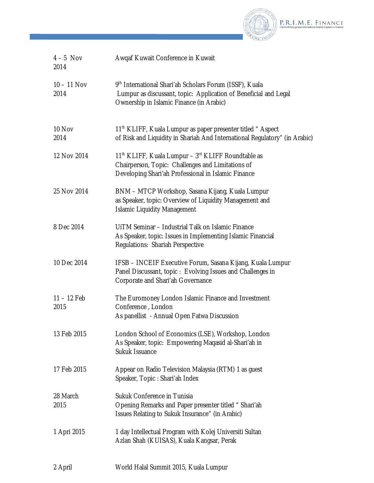

| $4-5$ Nov<br>2014     | Awqaf Kuwait Conference in Kuwait                                                                                                                                                      |
|-----------------------|----------------------------------------------------------------------------------------------------------------------------------------------------------------------------------------|
| $10 - 11$ Nov<br>2014 | 9th International Shari'ah Scholars Forum (ISSF), Kuala<br>Lumpur as discussant, topic: Application of Beneficial and Legal<br>Ownership in Islamic Finance (in Arabic)                |
| 10 Nov<br>2014        | 11 <sup>th</sup> KLIFF, Kuala Lumpur as paper presenter titled "Aspect<br>of Risk and Liquidity in Shariah And International Regulatory" (in Arabic)                                   |
| 12 Nov 2014           | 11 <sup>th</sup> KLIFF, Kuala Lumpur - 3 <sup>rd</sup> KLIFF Roundtable as<br>Chairperson, Topic: Challenges and Limitations of<br>Developing Shari'ah Professional in Islamic Finance |
| 25 Nov 2014           | BNM - MTCP Workshop, Sasana Kijang, Kuala Lumpur<br>as Speaker, topic: Overview of Liquidity Management and<br><b>Islamic Liquidity Management</b>                                     |
| 8 Dec 2014            | UITM Seminar - Industrial Talk on Islamic Finance<br>As Speaker, topic: Issues in Implementing Islamic Financial<br>Regulations: Shariah Perspective                                   |
| 10 Dec 2014           | IFSB - INCEIF Executive Forum, Sasana Kijang, Kuala Lumpur<br>Panel Discussant, topic: Evolving Issues and Challenges in<br>Corporate and Shari'ah Governance                          |
| $11 - 12$ Feb<br>2015 | The Euromoney London Islamic Finance and Investment<br>Conference, London<br>As panellist - Annual Open Fatwa Discussion                                                               |
| 13 Feb 2015           | London School of Economics (LSE), Workshop, London<br>As Speaker, topic: Empowering Maqasid al-Shari'ah in<br>Sukuk Issuance                                                           |
| 17 Feb 2015           | Appear on Radio Television Malaysia (RTM) 1 as guest<br>Speaker, Topic: Shari'ah Index                                                                                                 |
| 28 March<br>2015      | Sukuk Conference in Tunisia<br>Opening Remarks and Paper presenter titled " Shari'ah<br>Issues Relating to Sukuk Insurance" (in Arabic)                                                |
| 1 Apri 2015           | 1 day Intellectual Program with Kolej Universiti Sultan<br>Azlan Shah (KUISAS), Kuala Kangsar, Perak                                                                                   |
| 2 April               | World Halal Summit 2015, Kuala Lumpur                                                                                                                                                  |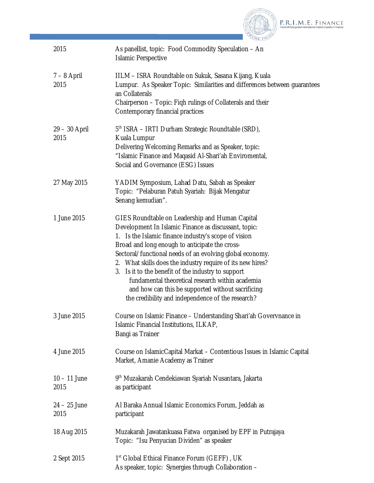

| 2015                   | As panellist, topic: Food Commodity Speculation - An<br><b>Islamic Perspective</b>                                                                                                                                                                                                                                                                                                                                                                                                                                                                                 |
|------------------------|--------------------------------------------------------------------------------------------------------------------------------------------------------------------------------------------------------------------------------------------------------------------------------------------------------------------------------------------------------------------------------------------------------------------------------------------------------------------------------------------------------------------------------------------------------------------|
| $7 - 8$ April<br>2015  | IILM - ISRA Roundtable on Sukuk, Sasana Kijang, Kuala<br>Lumpur. As Speaker Topic: Similarities and differences between guarantees<br>an Collaterals<br>Chairperson - Topic: Figh rulings of Collaterals and their<br>Contemporary financial practices                                                                                                                                                                                                                                                                                                             |
| 29 – 30 April<br>2015  | 5 <sup>th</sup> ISRA – IRTI Durham Strategic Roundtable (SRD),<br>Kuala Lumpur<br>Delivering Welcoming Remarks and as Speaker, topic:<br>"Islamic Finance and Magasid Al-Shari'ah Enviromental,<br>Social and Governance (ESG) Issues                                                                                                                                                                                                                                                                                                                              |
| 27 May 2015            | YADIM Symposium, Lahad Datu, Sabah as Speaker<br>Topic: "Pelaburan Patuh Syariah: Bijak Mengatur<br>Senang kemudian".                                                                                                                                                                                                                                                                                                                                                                                                                                              |
| 1 June 2015            | GIES Roundtable on Leadership and Human Capital<br>Development In Islamic Finance as discussant, topic:<br>Is the Islamic finance industry's scope of vision<br>1.<br>Broad and long enough to anticipate the cross-<br>Sectoral/functional needs of an evolving global economy.<br>2. What skills does the industry require of its new hires?<br>3. Is it to the benefit of the industry to support<br>fundamental theoretical research within academia<br>and how can this be supported without sacrificing<br>the credibility and independence of the research? |
| 3 June 2015            | Course on Islamic Finance - Understanding Shari'ah Govervnance in<br>Islamic Financial Institutions, ILKAP,<br>Bangi as Trainer                                                                                                                                                                                                                                                                                                                                                                                                                                    |
| 4 June 2015            | Course on IslamicCapital Markat - Contentious Issues in Islamic Capital<br>Market, Amanie Academy as Trainer                                                                                                                                                                                                                                                                                                                                                                                                                                                       |
| $10 - 11$ June<br>2015 | 9 <sup>th</sup> Muzakarah Cendekiawan Syariah Nusantara, Jakarta<br>as participant                                                                                                                                                                                                                                                                                                                                                                                                                                                                                 |
| $24 - 25$ June<br>2015 | Al Baraka Annual Islamic Economics Forum, Jeddah as<br>participant                                                                                                                                                                                                                                                                                                                                                                                                                                                                                                 |
| 18 Aug 2015            | Muzakarah Jawatankuasa Fatwa organised by EPF in Putrajaya<br>Topic: "Isu Penyucian Dividen" as speaker                                                                                                                                                                                                                                                                                                                                                                                                                                                            |
| 2 Sept 2015            | 1 <sup>st</sup> Global Ethical Finance Forum (GEFF), UK<br>As speaker, topic: Synergies through Collaboration -                                                                                                                                                                                                                                                                                                                                                                                                                                                    |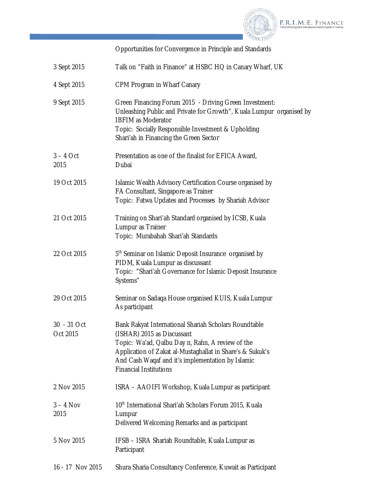

P.R.I.M.E. FINANCE

Opportunities for Convergence in Principle and Standards

| 3 Sept 2015             | Talk on "Faith in Finance" at HSBC HQ in Canary Wharf, UK                                                                                                                                                                                                                                  |
|-------------------------|--------------------------------------------------------------------------------------------------------------------------------------------------------------------------------------------------------------------------------------------------------------------------------------------|
| 4 Sept 2015             | CPM Program in Wharf Canary                                                                                                                                                                                                                                                                |
| 9 Sept 2015             | Green Financing Forum 2015 - Driving Green Investment:<br>Unleashing Public and Private for Growth", Kuala Lumpur organised by<br><b>IBFIM as Moderator</b><br>Topic: Socially Responsible Investment & Upholding<br>Shari'ah in Financing the Green Sector                                |
| $3 - 4$ Oct<br>2015     | Presentation as one of the finalist for EFICA Award,<br>Dubai                                                                                                                                                                                                                              |
| 19 Oct 2015             | Islamic Wealth Advisory Certification Course organised by<br>FA Consultant, Singapore as Trainer<br>Topic: Fatwa Updates and Processes by Shariah Advisor                                                                                                                                  |
| 21 Oct 2015             | Training on Shari'ah Standard organised by ICSB, Kuala<br>Lumpur as Trainer<br>Topic: Murabahah Shari'ah Standards                                                                                                                                                                         |
| 22 Oct 2015             | 5 <sup>th</sup> Seminar on Islamic Deposit Insurance organised by<br>PIDM, Kuala Lumpur as discussant<br>Topic: "Shari'ah Governance for Islamic Deposit Insurance<br>Systems"                                                                                                             |
| 29 Oct 2015             | Seminar on Sadaqa House organised KUIS, Kuala Lumpur<br>As participant                                                                                                                                                                                                                     |
| 30 - 31 Oct<br>Oct 2015 | Bank Rakyat International Shariah Scholars Roundtable<br>(ISHAR) 2015 as Discussant<br>Topic: Wa'ad, Qalbu Day n, Rahn, A review of the<br>Application of Zakat al-Mustaghallat in Share's & Sukuk's<br>And Cash Waqaf and it's implementation by Islamic<br><b>Financial Institutions</b> |
| 2 Nov 2015              | ISRA - AAOIFI Workshop, Kuala Lumpur as participant                                                                                                                                                                                                                                        |
| $3 - 4$ Nov<br>2015     | 10 <sup>th</sup> International Shari'ah Scholars Forum 2015, Kuala<br>Lumpur<br>Delivered Welcoming Remarks and as participant                                                                                                                                                             |
| 5 Nov 2015              | IFSB - ISRA Shariah Roundtable, Kuala Lumpur as<br>Participant                                                                                                                                                                                                                             |
| 16 - 17 Nov 2015        | Shura Sharia Consultancy Conference, Kuwait as Participant                                                                                                                                                                                                                                 |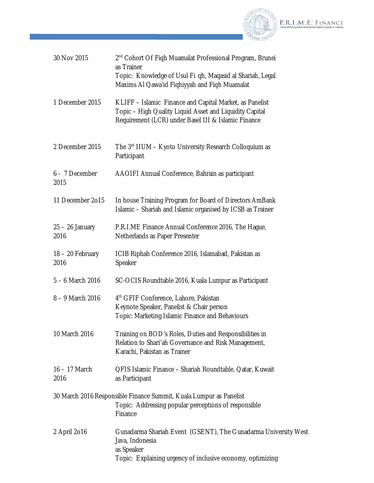

| 30 Nov 2015               | 2 <sup>nd</sup> Cohort Of Fiqh Muamalat Professional Program, Brunei<br>as Trainer<br>Topic: Knowledge of Usul Fi qh, Maqasid al Shariah, Legal<br>Maxims AI Qawa'id Fighiyyah and Figh Muamalat |
|---------------------------|--------------------------------------------------------------------------------------------------------------------------------------------------------------------------------------------------|
| 1 December 2015           | KLIFF - Islamic Finance and Capital Market, as Panelist<br>Topic - High Quality Liquid Asset and Liquidity Capital<br>Requirement (LCR) under Basel III & Islamic Finance                        |
| 2 December 2015           | The 3 <sup>rd</sup> IIUM - Kyoto University Research Colloquium as<br>Participant                                                                                                                |
| 6 - 7 December<br>2015    | AAOIFI Annual Conference, Bahrain as participant                                                                                                                                                 |
| 11 December 2015          | In house Training Program for Board of Directors AmBank<br>Islamic - Shariah and Islamic organised by ICSB as Trainer                                                                            |
| $25 - 26$ January<br>2016 | P.R.I.ME Finance Annual Conference 2016, The Hague,<br>Netherlands as Paper Presenter                                                                                                            |
| 18 - 20 February<br>2016  | ICIB Riphah Conference 2016, Islamabad, Pakistan as<br>Speaker                                                                                                                                   |
| $5 - 6$ March 2016        | SC-OCIS Roundtable 2016, Kuala Lumpur as Participant                                                                                                                                             |
| 8 - 9 March 2016          | 4 <sup>th</sup> GFIF Conference, Lahore, Pakistan<br>Keynote Speaker, Panelist & Chair person<br>Topic: Marketing Islamic Finance and Behaviours                                                 |
| 10 March 2016             | Training on BOD's Roles, Duties and Responsibilities in<br>Relation to Shari'ah Governance and Risk Management,<br>Karachi, Pakistan as Trainer                                                  |
| $16 - 17$ March<br>2016   | QFIS Islamic Finance - Shariah Roundtable, Qatar, Kuwait<br>as Participant                                                                                                                       |
|                           | 30 March 2016 Responsible Finance Summit, Kuala Lumpur as Panelist<br>Topic: Addressing popular perceptions of responsible<br>Finance                                                            |
| 2 April 2016              | Gunadarma Shariah Event (GSENT), The Gunadarma University West<br>Java, Indonesia<br>as Speaker<br>Topic: Explaining urgency of inclusive economy, optimizing                                    |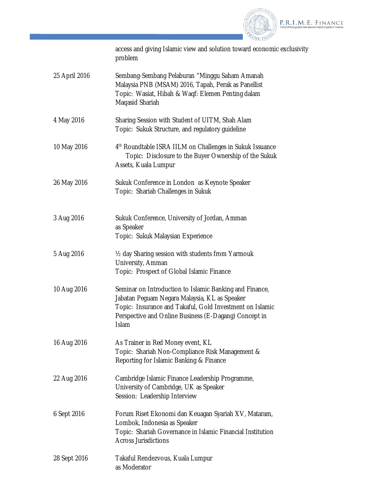

access and giving Islamic view and solution toward economic exclusivity problem

| 25 April 2016 | Sembang-Sembang Pelaburan "Minggu Saham Amanah      |
|---------------|-----------------------------------------------------|
|               | Malaysia PNB (MSAM) 2016, Tapah, Perak as Panellist |
|               | Topic: Wasiat, Hibah & Wagf: Elemen Penting dalam   |
|               | Magasid Shariah                                     |

- 4 May 2016 Sharing Session with Student of UITM, Shah Alam Topic: Sukuk Structure, and regulatory guideline
- 10 May 2016 4 4<sup>th</sup> Roundtable ISRA IILM on Challenges in Sukuk Issuance Topic: Disclosure to the Buyer Ownership of the Sukuk Assets, Kuala Lumpur
- 26 May 2016 Sukuk Conference in London as Keynote Speaker Topic: Shariah Challenges in Sukuk
- 3 Aug 2016 Sukuk Conference, University of Jordan, Amman as Speaker Topic: Sukuk Malaysian Experience
- 5 Aug 2016 ½ day Sharing session with students from Yarmouk University, Amman Topic: Prospect of Global Islamic Finance
- 10 Aug 2016 Seminar on Introduction to Islamic Banking and Finance, Jabatan Peguam Negara Malaysia, KL as Speaker Topic: Insurance and Takaful, Gold Investment on Islamic Perspective and Online Business (E-Dagang) Concept in Islam
- 16 Aug 2016 As Trainer in Red Money event, KL Topic: Shariah Non-Compliance Risk Management & Reporting for Islamic Banking & Finance
- 22 Aug 2016 Cambridge Islamic Finance Leadership Programme, University of Cambridge, UK as Speaker Session: Leadership Interview
- 6 Sept 2016 Forum Riset Ekonomi dan Keuagan Syariah XV, Mataram, Lombok, Indonesia as Speaker Topic: Shariah Governance in Islamic Financial Institution Across Jurisdictions
- 28 Sept 2016 Takaful Rendezvous, Kuala Lumpur as Moderator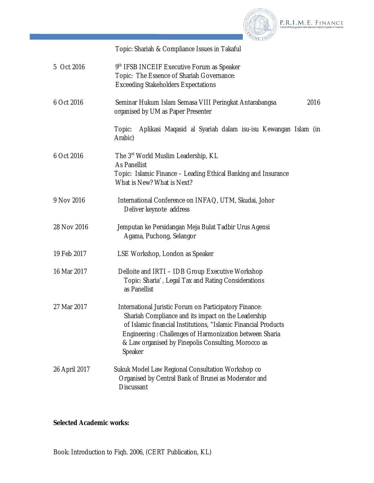

P.R.I.M.E. FINANCE

Topic: Shariah & Compliance Issues in Takaful

| 5 Oct 2016    | 9th IFSB INCEIF Executive Forum as Speaker<br>Topic: The Essence of Shariah Governance:<br><b>Exceeding Stakeholders Expectations</b>                                                                                                                                                                        |
|---------------|--------------------------------------------------------------------------------------------------------------------------------------------------------------------------------------------------------------------------------------------------------------------------------------------------------------|
| 6 Oct 2016    | Seminar Hukum Islam Semasa VIII Peringkat Antarabangsa<br>2016<br>organised by UM as Paper Presenter                                                                                                                                                                                                         |
|               | Aplikasi Maqasid al Syariah dalam isu-isu Kewangan Islam (in<br>Topic:<br>Arabic)                                                                                                                                                                                                                            |
| 6 Oct 2016    | The 3rd World Muslim Leadership, KL<br><b>As Panellist</b><br>Topic: Islamic Finance – Leading Ethical Banking and Insurance<br>What is New? What is Next?                                                                                                                                                   |
| 9 Nov 2016    | International Conference on INFAQ, UTM, Skudai, Johor<br>Deliver keynote address                                                                                                                                                                                                                             |
| 28 Nov 2016   | Jemputan ke Persidangan Meja Bulat Tadbir Urus Agensi<br>Agama, Puchong, Selangor                                                                                                                                                                                                                            |
| 19 Feb 2017   | LSE Workshop, London as Speaker                                                                                                                                                                                                                                                                              |
| 16 Mar 2017   | Delloite and IRTI - IDB Group Executive Workshop<br>Topic: Sharia', Legal Tax and Rating Considerations<br>as Panellist                                                                                                                                                                                      |
| 27 Mar 2017   | International Juristic Forum on Participatory Finance:<br>Shariah Compliance and its impact on the Leadership<br>of Islamic financial Institutions, "Islamic Financial Products<br>Engineering: Challenges of Harmonization between Sharia<br>& Law organised by Finepolis Consulting, Morocco as<br>Speaker |
| 26 April 2017 | Sukuk Model Law Regional Consultation Workshop co<br>Organised by Central Bank of Brunei as Moderator and<br><b>Discussant</b>                                                                                                                                                                               |

**Selected Academic works:**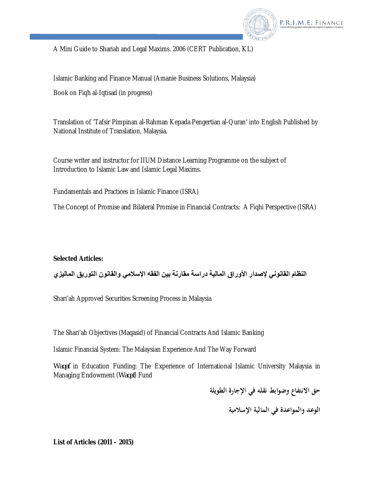

A Mini Guide to Shariah and Legal Maxims. 2006 (CERT Publication, KL)

Islamic Banking and Finance Manual (Amanie Business Solutions, Malaysia)

Book on Fiqh al-Iqtisad (in progress)

Translation of 'Tafsir Pimpinan al-Rahman Kepada Pengertian al-Quran' into English Published by National Institute of Translation, Malaysia.

Course writer and instructor for IIUM Distance Learning Programme on the subject of Introduction to Islamic Law and Islamic Legal Maxims.

Fundamentals and Practices in Islamic Finance (ISRA)

The Concept of Promise and Bilateral Promise in Financial Contracts: A Fiqhi Perspective (ISRA)

# **Selected Articles:**

**النظام القانوني لإصدار الأوراق المالیة دراسة مقارنة بین الفقھ الإسلامي والقانون التوریق المالیزي**

Shari'ah Approved Securities Screening Process in Malaysia

The Shari'ah Objectives (Maqasid) of Financial Contracts And Islamic Banking

Islamic Financial System: The Malaysian Experience And The Way Forward

*Waqaf* in Education Funding: The Experience of International Islamic University Malaysia in Managing Endowment (*Waqaf*) Fund

**حق الانتفاع وضوابط نقله في الإجارة الطويلة**

**الوعد والمواعدة في المالية الإسلامية** 

**List of Articles (2011 – 2015)**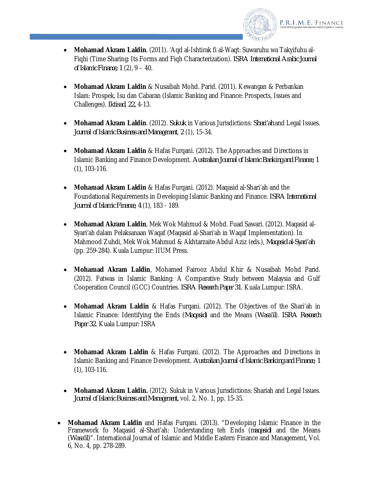

- **Mohamad Akram Laldin**. (2011). 'Aqd al-Ishtirak fi al-Waqt: Suwaruhu wa Takyifuhu al-Fiqhi (Time Sharing: Its Forms and Fiqh Characterization). *ISRA International Arabic Journal of Islamic Finance, 1* (2), 9 – 40.
- **Mohamad Akram Laldin** & Nusaibah Mohd. Parid. (2011). Kewangan & Perbankan Islam: Prospek, Isu dan Cabaran (Islamic Banking and Finance: Prospects, Issues and Challenges). *Iktisad*, *22,* 4-13.
- **Mohamad Akram Laldin**. (2012). *Sukuk* in Various Jurisdictions: *Shari'ah* and Legal Issues. *Journal of Islamic Business and Management*, *2* (1), 15-34.
- **Mohamad Akram Laldin** & Hafas Furqani. (2012). The Approaches and Directions in Islamic Banking and Finance Development. *Australian Journal of Islamic Banking and Finance, 1* (1), 103-116.
- **Mohamad Akram Laldin** & Hafas Furqani. (2012). Maqasid al-Shari'ah and the Foundational Requirements in Developing Islamic Banking and Finance. *ISRA International Journal of Islamic Finance, 4* (1), 183 - 189.
- **Mohamad Akram Laldin**, Mek Wok Mahmud & Mohd. Fuad Sawari. (2012). Maqasid al-Syari'ah dalam Pelaksanaan Waqaf (Maqasid al-Shari'ah in Waqaf Implementation). In Mahmood Zuhdi, Mek Wok Mahmud & Akhtarzaite Abdul Aziz (eds.), *Maqasid al-Syari'ah*  (pp. 259-284). Kuala Lumpur: IIUM Press.
- **Mohamad Akram Laldin**, Mohamed Fairooz Abdul Khir & Nusaibah Mohd Parid. (2012). Fatwas in Islamic Banking: A Comparative Study between Malaysia and Gulf Cooperation Council (GCC) Countries. *ISRA Research Paper 31*. Kuala Lumpur: ISRA.
- **Mohamad Akram Laldin** & Hafas Furqani. (2012). The Objectives of the Shari'ah in Islamic Finance: Identifying the Ends (*Maqasid*) and the Means (*Wasa'il*). *ISRA Research Paper 32*. Kuala Lumpur: ISRA
- **Mohamad Akram Laldin** & Hafas Furqani. (2012). The Approaches and Directions in Islamic Banking and Finance Development. *Australian Journal of Islamic Banking and Finance, 1* (1), 103-116.
- **Mohamad Akram Laldin.** (2012). Sukuk in Various Jurisdictions: Shariah and Legal Issues. *Journal of Islamic Business and Management,* vol. 2, No. 1, pp. 15-35.
- **Mohamad Akram Laldin** and Hafas Furqani. (2013). "Developing Islamic Finance in the Framework fo Maqasid al-Shari'ah: Understanding teh Ends (*maqasid*) and the Means (*Wasa'il*)". International Journal of Islamic and Middle Eastern Finance and Management, Vol. 6, No. 4, pp. 278-289.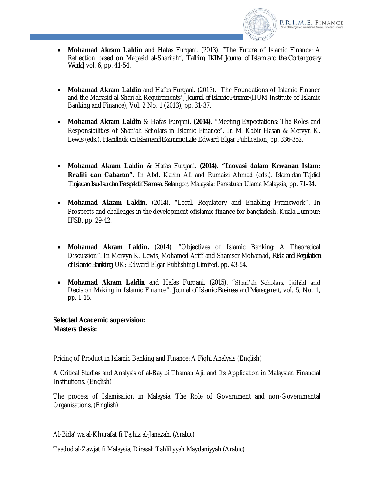

- **Mohamad Akram Laldin** and Hafas Furqani. (2013). "The Future of Islamic Finance: A Reflection based on Maqasid al-Shari'ah", *Tafhim, IKIM Journal of Islam and the Contemporary World,* vol. 6, pp. 41-54.
- **Mohamad Akram Laldin** and Hafas Furqani. (2013). "The Foundations of Islamic Finance and the Maqasid al-Shari'ah Requirements", *Journal of Islamic Finance* (IIUM Institute of Islamic Banking and Finance), Vol. 2 No. 1 (2013), pp. 31-37.
- **Mohamad Akram Laldin** & Hafas Furqani**. (2014).** "Meeting Expectations: The Roles and Responsibilities of Shari'ah Scholars in Islamic Finance". In M. Kabir Hasan & Mervyn K. Lewis (eds.), *Handbook on Islam and Economic Life*. Edward Elgar Publication, pp. 336-352.
- **Mohamad Akram Laldin** & Hafas Furqani. **(2014). "Inovasi dalam Kewanan Islam: Realiti dan Cabaran".** In Abd. Karim Ali and Rumaizi Ahmad (eds.), *Islam dan Tajdid: Tinjauan Isu-Isu dan Perspektif Semasa.* Selangor, Malaysia: Persatuan Ulama Malaysia, pp. 71-94.
- **Mohamad Akram Laldin**. (2014). "Legal, Regulatory and Enabling Framework". In Prospects and challenges in the development ofislamic finance for bangladesh. Kuala Lumpur: IFSB, pp. 29-42.
- **Mohamad Akram Laldin.** (2014). "Objectives of Islamic Banking: A Theoretical Discussion". In Mervyn K. Lewis, Mohamed Ariff and Shamser Mohamad, *Risk and Regulation of Islamic Banking.* UK: Edward Elgar Publishing Limited, pp. 43-54.
- **Mohamad Akram Laldin** and Hafas Furqani. (2015). "Shari'ah Scholars, Ijtihād and Decision Making in Islamic Finance". *Journal of Islamic Business and Management,* vol. 5, No. 1, pp. 1-15.

## **Selected Academic supervision: Masters thesis:**

Pricing of Product in Islamic Banking and Finance: A Fiqhi Analysis (English)

A Critical Studies and Analysis of al-Bay bi Thaman Ajil and Its Application in Malaysian Financial Institutions. (English)

The process of Islamisation in Malaysia: The Role of Government and non-Governmental Organisations. (English)

Al-Bida' wa al-Khurafat fi Tajhiz al-Janazah. (Arabic)

Taadud al-Zawjat fi Malaysia, Dirasah Tahliliyyah Maydaniyyah (Arabic)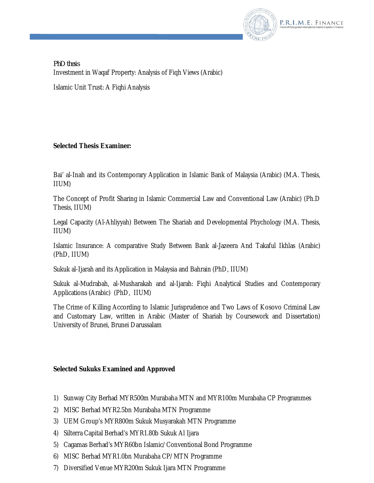

*PhD thesis* Investment in Waqaf Property: Analysis of Fiqh Views (Arabic)

Islamic Unit Trust: A Fiqhi Analysis

# **Selected Thesis Examiner:**

Bai' al-Inah and its Contemporary Application in Islamic Bank of Malaysia (Arabic) (M.A. Thesis, IIUM)

The Concept of Profit Sharing in Islamic Commercial Law and Conventional Law (Arabic) (Ph.D Thesis, IIUM)

Legal Capacity (Al-Ahliyyah) Between The Shariah and Developmental Phychology (M.A. Thesis, IIUM)

Islamic Insurance: A comparative Study Between Bank al-Jazeera And Takaful Ikhlas (Arabic) (PhD, IIUM)

Sukuk al-Ijarah and its Application in Malaysia and Bahrain (PhD, IIUM)

Sukuk al-Mudrabah, al-Musharakah and al-Ijarah: Fiqhi Analytical Studies and Contemporary Applications (Arabic) (PhD, IIUM)

The Crime of Killing According to Islamic Jurisprudence and Two Laws of Kosovo Criminal Law and Customary Law, written in Arabic (Master of Shariah by Coursework and Dissertation) University of Brunei, Brunei Darussalam

# **Selected Sukuks Examined and Approved**

- 1) Sunway City Berhad MYR500m Murabaha MTN and MYR100m Murabaha CP Programmes
- 2) MISC Berhad MYR2.5bn Murabaha MTN Programme
- 3) UEM Group's MYR800m Sukuk Musyarakah MTN Programme
- 4) Silterra Capital Berhad's MYR1.80b Sukuk Al Ijara
- 5) Cagamas Berhad's MYR60bn Islamic/Conventional Bond Programme
- 6) MISC Berhad MYR1.0bn Murabaha CP/MTN Programme
- 7) Diversified Venue MYR200m Sukuk Ijara MTN Programme